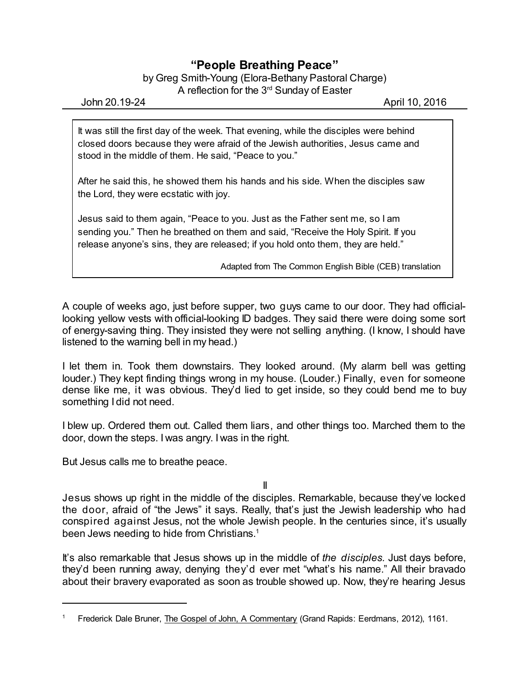## **"People Breathing Peace"**

by Greg Smith-Young (Elora-Bethany Pastoral Charge) A reflection for the 3 $^{\text{rd}}$  Sunday of Easter

John 20.19-24 April 10, 2016

It was still the first day of the week. That evening, while the disciples were behind closed doors because they were afraid of the Jewish authorities, Jesus came and stood in the middle of them. He said, "Peace to you."

After he said this, he showed them his hands and his side. When the disciples saw the Lord, they were ecstatic with joy.

Jesus said to them again, "Peace to you. Just as the Father sent me, so I am sending you." Then he breathed on them and said, "Receive the Holy Spirit. If you release anyone's sins, they are released; if you hold onto them, they are held."

Adapted from The Common English Bible (CEB) translation

A couple of weeks ago, just before supper, two guys came to our door. They had officiallooking yellow vests with official-looking ID badges. They said there were doing some sort of energy-saving thing. They insisted they were not selling anything. (I know, I should have listened to the warning bell in my head.)

I let them in. Took them downstairs. They looked around. (My alarm bell was getting louder.) They kept finding things wrong in my house. (Louder.) Finally, even for someone dense like me, it was obvious. They'd lied to get inside, so they could bend me to buy something I did not need.

I blew up. Ordered them out. Called them liars, and other things too. Marched them to the door, down the steps. I was angry. I was in the right.

But Jesus calls me to breathe peace.

II

Jesus shows up right in the middle of the disciples. Remarkable, because they've locked the door, afraid of "the Jews" it says. Really, that's just the Jewish leadership who had conspired against Jesus, not the whole Jewish people. In the centuries since, it's usually been Jews needing to hide from Christians.<sup>1</sup>

It's also remarkable that Jesus shows up in the middle of *the disciples.* Just days before, they'd been running away, denying they'd ever met "what's his name." All their bravado about their bravery evaporated as soon as trouble showed up. Now, they're hearing Jesus

Frederick Dale Bruner, The Gospel of John, A Commentary (Grand Rapids: Eerdmans, 2012), 1161.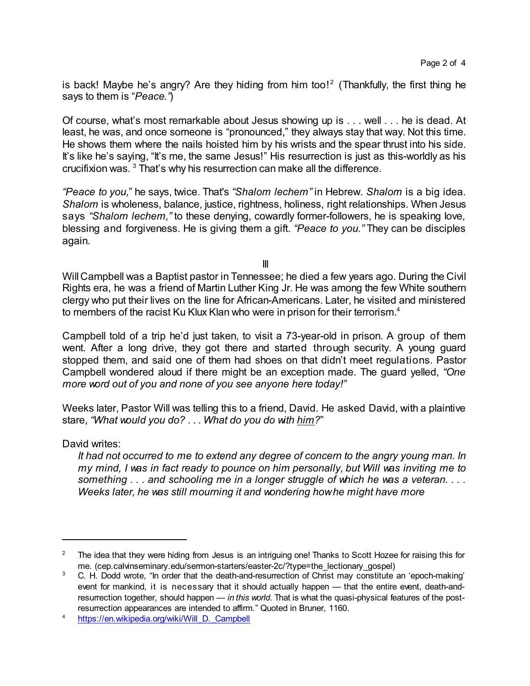is back! Maybe he's angry? Are they hiding from him too!<sup>2</sup> (Thankfully, the first thing he says to them is "*Peace."*)

Of course, what's most remarkable about Jesus showing up is . . . well . . . he is dead. At least, he was, and once someone is "pronounced," they always stay that way. Not this time. He shows them where the nails hoisted him by his wrists and the spear thrust into his side. It's like he's saying, "It's me, the same Jesus!" His resurrection is just as this-worldly as his crucifixion was. <sup>3</sup> That's why his resurrection can make all the difference.

*"Peace to you,*" he says, twice. That's *"Shalom lechem"* in Hebrew. *Shalom* is a big idea. *Shalom* is wholeness, balance, justice, rightness, holiness, right relationships. When Jesus says *"Shalom lechem,"* to these denying, cowardly former-followers, he is speaking love, blessing and forgiveness. He is giving them a gift. *"Peace to you."* They can be disciples again.

III

Will Campbell was a Baptist pastor in Tennessee; he died a few years ago. During the Civil Rights era, he was a friend of Martin Luther King Jr. He was among the few White southern clergy who put their lives on the line for African-Americans. Later, he visited and ministered to members of the racist Ku Klux Klan who were in prison for their terrorism. 4

Campbell told of a trip he'd just taken, to visit a 73-year-old in prison. A group of them went. After a long drive, they got there and started through security. A young guard stopped them, and said one of them had shoes on that didn't meet regulations. Pastor Campbell wondered aloud if there might be an exception made. The guard yelled, *"One more word out of you and none of you see anyone here today!"*

Weeks later, Pastor Will was telling this to a friend, David. He asked David, with a plaintive stare, *"What would you do?* . . . *What do you do with him?*"

## David writes:

*It had not occurred to me to extend any degree of concern to the angry young man. In my mind, I was in fact ready to pounce on him personally, but Will was inviting me to something . . . and schooling me in a longer struggle of which he was a veteran. . . . Weeks later, he was still mourning it and wondering howhe might have more*

<sup>&</sup>lt;sup>2</sup> The idea that they were hiding from Jesus is an intriguing one! Thanks to Scott Hozee for raising this for me. (cep.calvinseminary.edu/sermon-starters/easter-2c/?type=the\_lectionary\_gospel)

<sup>3</sup> C. H. Dodd wrote, "In order that the death-and-resurrection of Christ may constitute an 'epoch-making' event for mankind, it is necessary that it should actually happen — that the entire event, death-andresurrection together, should happen — *in this world*. That is what the quasi-physical features of the postresurrection appearances are intended to affirm." Quoted in Bruner, 1160.

<sup>&</sup>lt;sup>4</sup> [https://en.wikipedia.org/wiki/Will\\_D.\\_Campbell](https://en.wikipedia.org/wiki/Will_D._Campbell)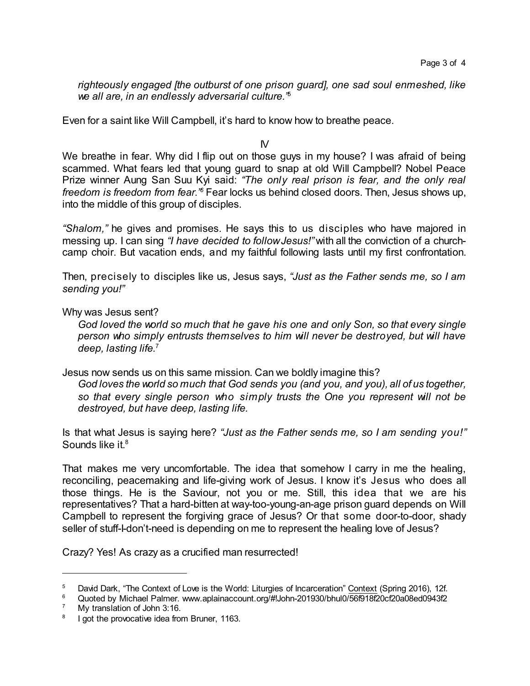*righteously engaged [the outburst of one prison guard], one sad soul enmeshed, like we all are, in an endlessly adversarial culture."* 5

Even for a saint like Will Campbell, it's hard to know how to breathe peace.

IV

We breathe in fear. Why did I flip out on those guys in my house? I was afraid of being scammed. What fears led that young guard to snap at old Will Campbell? Nobel Peace Prize winner Aung San Suu Kyi said: *"The only real prison is fear, and the only real* freedom *is freedom from fear.*" Fear locks us behind closed doors. Then, Jesus shows up, into the middle of this group of disciples.

*"Shalom,"* he gives and promises. He says this to us disciples who have majored in messing up. I can sing *"I have decided to followJesus!"* with all the conviction of a churchcamp choir. But vacation ends, and my faithful following lasts until my first confrontation.

Then, precisely to disciples like us, Jesus says, *"Just as the Father sends me, so I am sending you!"*

Why was Jesus sent?

*God loved the world so much that he gave his one and only Son, so that every single person who simply entrusts themselves to him will never be destroyed, but will have deep, lasting life.*<sup>7</sup>

Jesus now sends us on this same mission. Can we boldly imagine this?

*God loves the world so much that God sends you (and you, and you), all of us together, so that every single person who simply trusts the One you represent will not be destroyed, but have deep, lasting life.*

Is that what Jesus is saying here? *"Just as the Father sends me, so I am sending you!"* Sounds like it. 8

That makes me very uncomfortable. The idea that somehow I carry in me the healing, reconciling, peacemaking and life-giving work of Jesus. I know it's Jesus who does all those things. He is the Saviour, not you or me. Still, this idea that we are his representatives? That a hard-bitten at way-too-young-an-age prison guard depends on Will Campbell to represent the forgiving grace of Jesus? Or that some door-to-door, shady seller of stuff-I-don't-need is depending on me to represent the healing love of Jesus?

Crazy? Yes! As crazy as a crucified man resurrected!

<sup>&</sup>lt;sup>5</sup> David Dark, "The Context of Love is the World: Liturgies of Incarceration" Context (Spring 2016), 12f.

 $\frac{6}{7}$  Quoted by Michael Palmer. www.aplainaccount.org/#!John-201930/bhul0/56f918f20cf20a08ed0943f2

My translation of John 3:16.

<sup>8</sup> I got the provocative idea from Bruner, 1163.